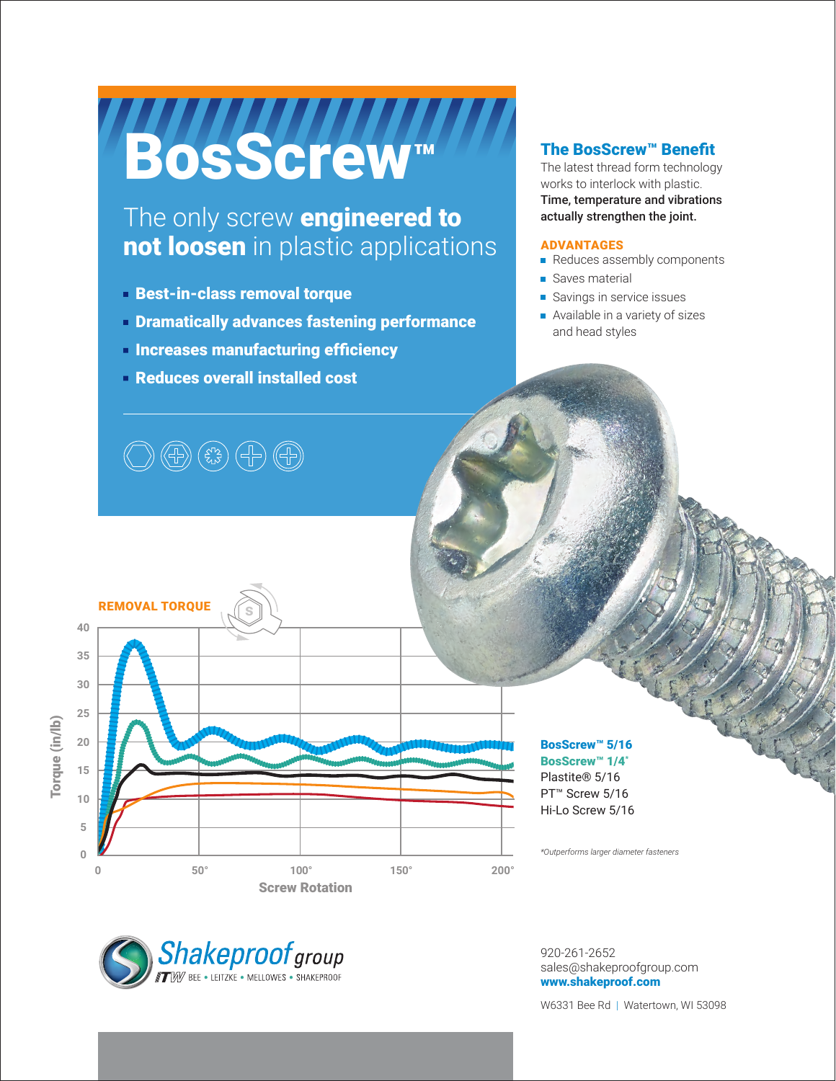# BosScrew™

# The only screw **engineered to** not loosen in plastic applications

- Best-in-class removal torque
- **Dramatically advances fastening performance**
- **Increases manufacturing efficiency**
- Reduces overall installed cost

### The BosScrew™ Benefit

The latest thread form technology works to interlock with plastic. Time, temperature and vibrations actually strengthen the joint.

#### ADVANTAGES

- Reduces assembly components
- Saves material
- Savings in service issues
- Available in a variety of sizes and head styles





#### BosScrew™ 5/16 BosScrew™ 1/4\* Plastite® 5/16 PT<sup>™</sup> Screw 5/16

Hi-Lo Screw 5/16

*\*Outperforms larger diameter fasteners*



920-261-2652 sales@shakeproofgroup.com www.shakeproof.com

W6331 Bee Rd | Watertown, WI 53098